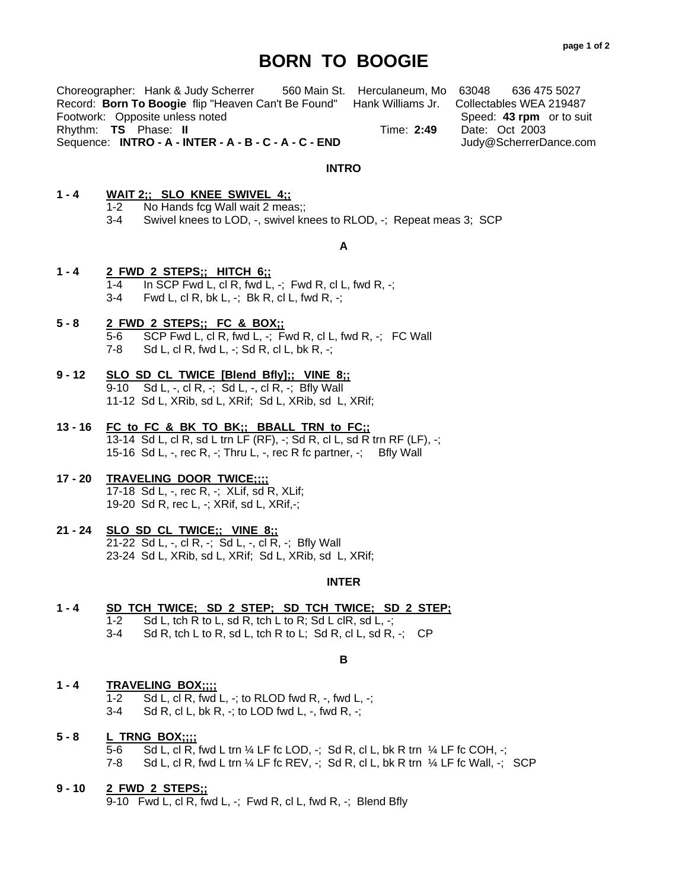# **BORN TO BOOGIE**

Choreographer: Hank & Judy Scherrer 560 Main St. Herculaneum, Mo 63048 636 475 5027 Record: **Born To Boogie** flip "Heaven Can't Be Found" Hank Williams Jr. Collectables WEA 219487 Footwork: Opposite unless noted Speed: 43 rpm or to suit<br>
Rhythm: TS Phase: II Speed: 43 rpm or to suit<br>
Rhythm: TS Phase: II Speed: 43 rpm or to suit Rhythm: **TS** Phase: II

Sequence: **INTRO - A - INTER - A - B - C - A - C - END** Judy@ScherrerDance.com

#### **INTRO**

# **1 - 4 WAIT 2;; SLO KNEE SWIVEL 4;;**

- 1-2 No Hands fcg Wall wait 2 meas;;
- 3-4 Swivel knees to LOD, -, swivel knees to RLOD, -; Repeat meas 3; SCP

#### **A**

- **1 4 2 FWD 2 STEPS;; HITCH 6;;** 
	- 1-4 In SCP Fwd L, cl R, fwd L,  $-$ ; Fwd R, cl L, fwd R,  $-$ ; 3-4 Fwd L, cl R, bk L, -; Bk R, cl L, fwd R, -;

# **5 - 8 2 FWD 2 STEPS;; FC & BOX;;**

- $\overline{5-6}$  SCP Fwd L, cl R, fwd L, -; Fwd R, cl L, fwd R, -; FC Wall
- 7-8 Sd L, cl R, fwd L, -; Sd R, cl L, bk R, -;
- **9 12 SLO SD CL TWICE [Blend Bfly];; VINE 8;;** 9-10 Sd L, -, cl R, -; Sd L, -, cl R, -; Bfly Wall 11-12 Sd L, XRib, sd L, XRif; Sd L, XRib, sd L, XRif;
- **13 16 FC to FC & BK TO BK;; BBALL TRN to FC;;** 13-14 Sd L, cl R, sd L trn LF (RF), -; Sd R, cl L, sd R trn RF (LF), -; 15-16 Sd L, -, rec R, -; Thru L, -, rec R fc partner, -; Bfly Wall
- **17 20 TRAVELING DOOR TWICE;;;;**  17-18 Sd L, -, rec R, -; XLif, sd R, XLif; 19-20 Sd R, rec L, -; XRif, sd L, XRif,-;
- **21 24 SLO SD CL TWICE;; VINE 8;;** 21-22Sd L, -, cl R, -; Sd L, -, cl R, -; Bfly Wall 23-24 Sd L, XRib, sd L, XRif; Sd L, XRib, sd L, XRif;

### **INTER**

**1 - 4 SD TCH TWICE; SD 2 STEP; SD TCH TWICE; SD 2 STEP;**  1-2  $Sd L$ , tch R to L, sd R, tch L to R; Sd L clR, sd L, -;  $3-4$  Sd R, tch L to R, sd L, tch R to L; Sd R, cl L, sd R, -; CP

#### **B**

**1 - 4 TRAVELING BOX;;;;**

1-2 Sd L, cl R, fwd L, -; to RLOD fwd R, -, fwd L, -; 3-4 Sd R, cl L, bk R, -; to LOD fwd L, -, fwd R, -;

**5 - 8 L TRNG BOX;;;;** 5-6 Sd L, cl R, fwd L trn ¼ LF fc LOD, -; Sd R, cl L, bk R trn ¼ LF fc COH, -; 7-8 Sd L, cl R, fwd L trn ¼ LF fc REV, -; Sd R, cl L, bk R trn ¼ LF fc Wall, -;SCP

## **9 - 10 2 FWD 2 STEPS;;**

9-10 Fwd L, cl R, fwd L, -; Fwd R, cl L, fwd R, -; Blend Bfly